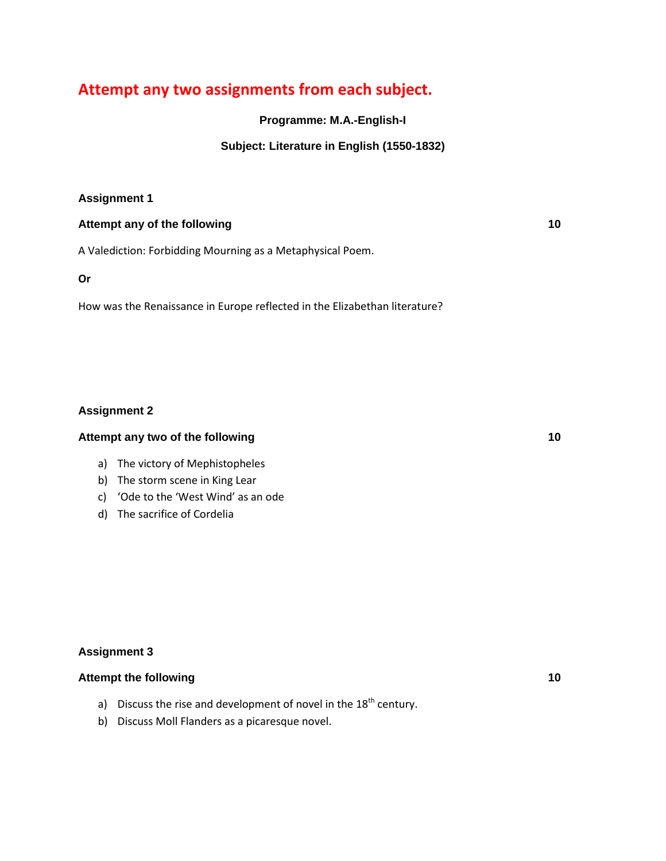# **Attempt any two assignments from each subject.**

**Programme: M.A.-English-I**

## **Subject: Literature in English (1550-1832)**

## **Assignment 1**

#### **Attempt any of the following 10**

A Valediction: Forbidding Mourning as a Metaphysical Poem.

**Or**

How was the Renaissance in Europe reflected in the Elizabethan literature?

#### **Assignment 2**

## **Attempt any two of the following 10**

- a) The victory of Mephistopheles
- b) The storm scene in King Lear
- c) 'Ode to the 'West Wind' as an ode
- d) The sacrifice of Cordelia

#### **Assignment 3**

#### **Attempt the following 10**

- a) Discuss the rise and development of novel in the  $18<sup>th</sup>$  century.
- b) Discuss Moll Flanders as a picaresque novel.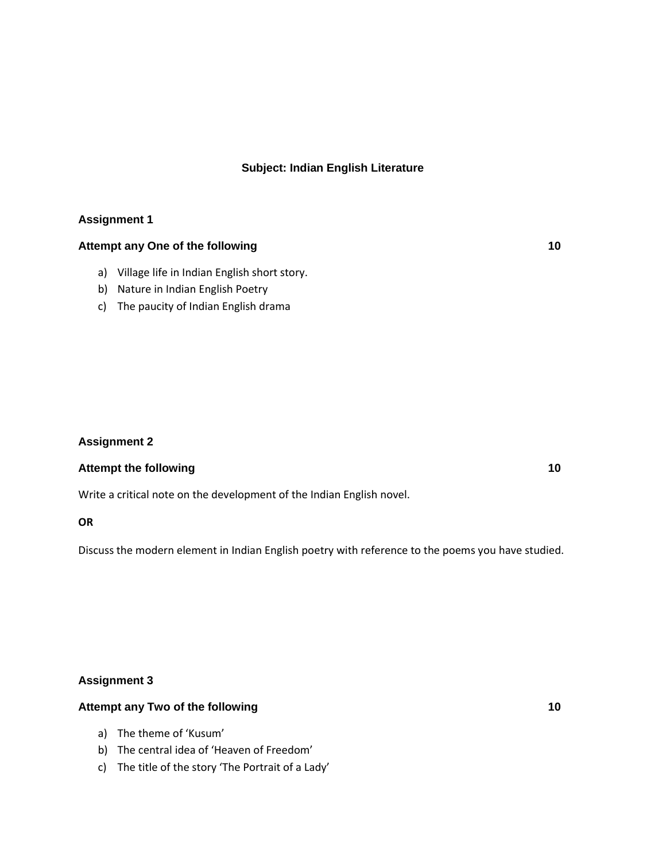## **Subject: Indian English Literature**

#### **Assignment 1**

## **Attempt any One of the following 10**

- a) Village life in Indian English short story.
- b) Nature in Indian English Poetry
- c) The paucity of Indian English drama

#### **Assignment 2**

#### **Attempt the following 10**

Write a critical note on the development of the Indian English novel.

#### **OR**

Discuss the modern element in Indian English poetry with reference to the poems you have studied.

#### **Assignment 3**

#### **Attempt any Two of the following 10**

- a) The theme of 'Kusum'
- b) The central idea of 'Heaven of Freedom'
- c) The title of the story 'The Portrait of a Lady'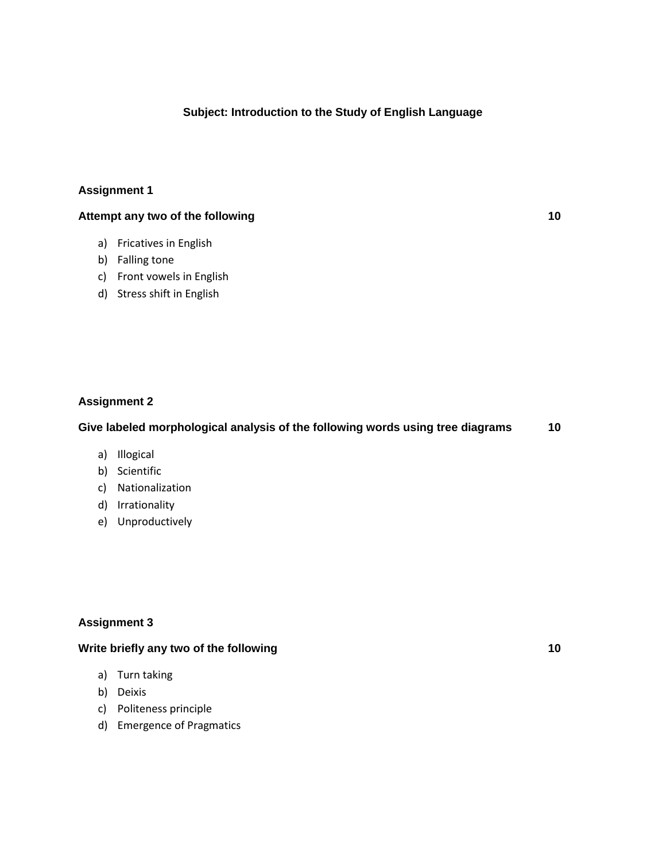#### **Subject: Introduction to the Study of English Language**

#### **Assignment 1**

## **Attempt any two of the following 10**

- a) Fricatives in English
- b) Falling tone
- c) Front vowels in English
- d) Stress shift in English

#### **Assignment 2**

#### **Give labeled morphological analysis of the following words using tree diagrams 10**

- a) Illogical
- b) Scientific
- c) Nationalization
- d) Irrationality
- e) Unproductively

## **Assignment 3**

## **Write briefly any two of the following 10**

- a) Turn taking
- b) Deixis
- c) Politeness principle
- d) Emergence of Pragmatics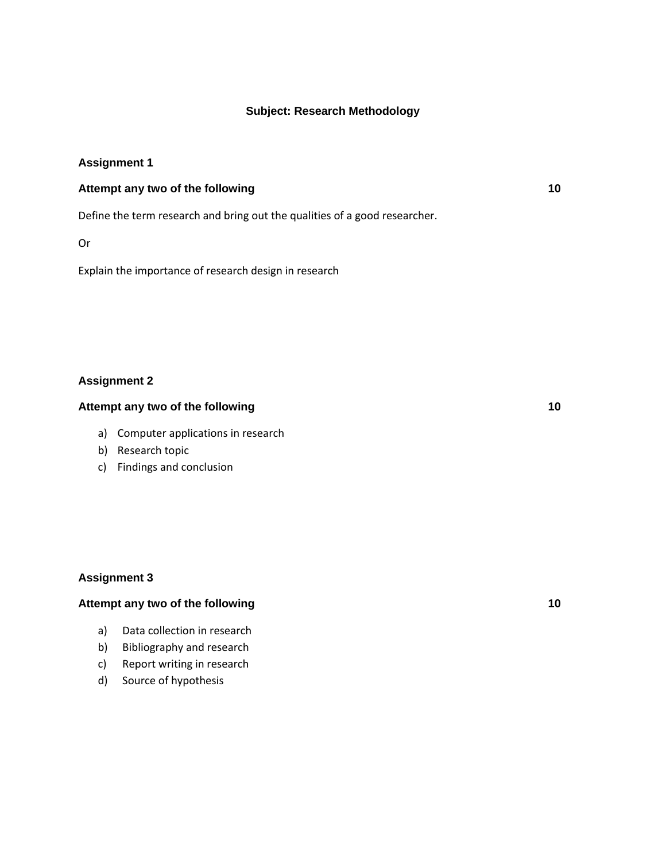#### **Subject: Research Methodology**

#### **Assignment 1**

## **Attempt any two of the following 10**

Define the term research and bring out the qualities of a good researcher.

Or

Explain the importance of research design in research

#### **Assignment 2**

## **Attempt any two of the following 10**

- a) Computer applications in research
- b) Research topic
- c) Findings and conclusion

#### **Assignment 3**

#### **Attempt any two of the following 10**

- a) Data collection in research
- b) Bibliography and research
- c) Report writing in research
- d) Source of hypothesis